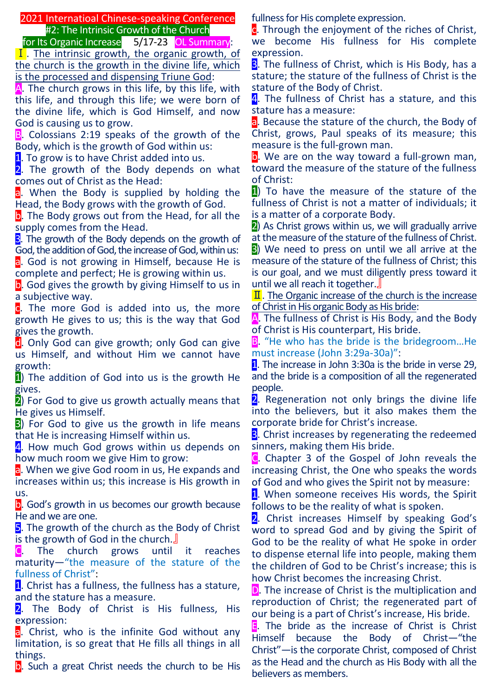2021 Internatioal Chinese-speaking Conference #2: The Intrinsic Growth of the Church

for Its Organic Increase 5/17-23 OL Summary:

 $\overline{I}$ . The intrinsic growth, the organic growth, of the church is the growth in the divine life, which is the processed and dispensing Triune God:

A. The church grows in this life, by this life, with this life, and through this life; we were born of the divine life, which is God Himself, and now God is causing us to grow.

B. Colossians 2:19 speaks of the growth of the Body, which is the growth of God within us:

1. To grow is to have Christ added into us.

2. The growth of the Body depends on what comes out of Christ as the Head:

a. When the Body is supplied by holding the Head, the Body grows with the growth of God.

b. The Body grows out from the Head, for all the supply comes from the Head.

**3**. The growth of the Body depends on the growth of God, the addition of God, the increase of God, within us: a. God is not growing in Himself, because He is complete and perfect; He is growing within us.

b. God gives the growth by giving Himself to us in a subjective way.

c. The more God is added into us, the more growth He gives to us; this is the way that God gives the growth.

**d**. Only God can give growth; only God can give us Himself, and without Him we cannot have growth:

1) The addition of God into us is the growth He gives.

2) For God to give us growth actually means that He gives us Himself.

**3**) For God to give us the growth in life means that He is increasing Himself within us.

4. How much God grows within us depends on how much room we give Him to grow:

a. When we give God room in us, He expands and increases within us; this increase is His growth in us.

**b**. God's growth in us becomes our growth because He and we are one.

5. The growth of the church as the Body of Christ is the growth of God in the church.』

C. The church grows until it reaches maturity—"the measure of the stature of the fullness of Christ":

1. Christ has a fullness, the fullness has a stature, and the stature has a measure.

2. The Body of Christ is His fullness, His expression:

a. Christ, who is the infinite God without any limitation, is so great that He fills all things in all things.

**b**. Such a great Christ needs the church to be His

fullness for His complete expression.

**c**. Through the enjoyment of the riches of Christ. we become His fullness for His complete expression.

**3.** The fullness of Christ, which is His Body, has a stature; the stature of the fullness of Christ is the stature of the Body of Christ.

4. The fullness of Christ has a stature, and this stature has a measure:

a. Because the stature of the church, the Body of Christ, grows, Paul speaks of its measure; this measure is the full-grown man.

b. We are on the way toward a full-grown man, toward the measure of the stature of the fullness of Christ:

1) To have the measure of the stature of the fullness of Christ is not a matter of individuals; it is a matter of a corporate Body.

2) As Christ grows within us, we will gradually arrive at the measure of the stature of the fullness of Christ.

3) We need to press on until we all arrive at the measure of the stature of the fullness of Christ; this is our goal, and we must diligently press toward it until we all reach it together.』

 $\Pi$ . The Organic increase of the church is the increase of Christ in His organic Body as His bride:

A. The fullness of Christ is His Body, and the Body of Christ is His counterpart, His bride.

B. "He who has the bride is the bridegroom...He must increase (John 3:29a-30a)":

1. The increase in John 3:30a is the bride in verse 29, and the bride is a composition of all the regenerated people.

2. Regeneration not only brings the divine life into the believers, but it also makes them the corporate bride for Christ's increase.

**3**. Christ increases by regenerating the redeemed sinners, making them His bride.

C. Chapter 3 of the Gospel of John reveals the increasing Christ, the One who speaks the words of God and who gives the Spirit not by measure:

1. When someone receives His words, the Spirit follows to be the reality of what is spoken.

2. Christ increases Himself by speaking God's word to spread God and by giving the Spirit of God to be the reality of what He spoke in order to dispense eternal life into people, making them the children of God to be Christ's increase; this is how Christ becomes the increasing Christ.

D. The increase of Christ is the multiplication and reproduction of Christ; the regenerated part of our being is a part of Christ's increase, His bride.

E. The bride as the increase of Christ is Christ Himself because the Body of Christ—"the Christ"—is the corporate Christ, composed of Christ as the Head and the church as His Body with all the believers as members.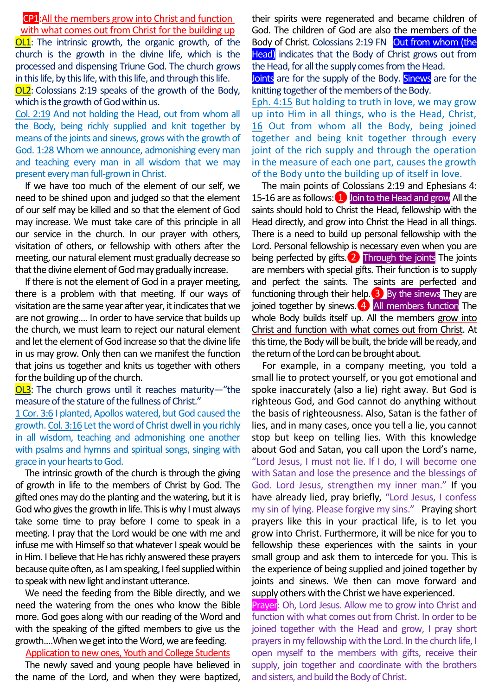## CP1:All the members grow into Christ and function with what comes out from Christ for the building up

**OL1**: The intrinsic growth, the organic growth, of the church is the growth in the divine life, which is the processed and dispensing Triune God. The church grows in this life, by this life, with this life, and through this life.

OL2: Colossians 2:19 speaks of the growth of the Body, which is the growth of God within us.

Col. 2:19 And not holding the Head, out from whom all the Body, being richly supplied and knit together by means of the joints and sinews, grows with the growth of God. 1:28 Whom we announce, admonishing every man and teaching every man in all wisdom that we may present every man full-grown in Christ.

If we have too much of the element of our self, we need to be shined upon and judged so that the element of our self may be killed and so that the element of God may increase. We must take care of this principle in all our service in the church. In our prayer with others, visitation of others, or fellowship with others after the meeting, our natural element must gradually decrease so that the divine element of God may gradually increase.

If there is not the element of God in a prayer meeting, there is a problem with that meeting. If our ways of visitation are the same year after year, it indicates that we are not growing…. In order to have service that builds up the church, we must learn to reject our natural element and let the element of God increase so that the divine life in us may grow. Only then can we manifest the function that joins us together and knits us together with others for the building up of the church.

OL3: The church grows until it reaches maturity—"the measure of the stature of the fullness of Christ."

1 Cor. 3:6 I planted, Apollos watered, but God caused the growth. Col. 3:16 Let the word of Christ dwell in you richly in all wisdom, teaching and admonishing one another with psalms and hymns and spiritual songs, singing with grace in your hearts to God.

The intrinsic growth of the church is through the giving of growth in life to the members of Christ by God. The gifted ones may do the planting and the watering, but it is God who gives the growth in life. This is why I must always take some time to pray before I come to speak in a meeting. I pray that the Lord would be one with me and infuse me with Himself so that whatever I speak would be in Him. I believe that He has richly answered these prayers because quite often, as I am speaking, I feel supplied within to speak with new light and instant utterance.

We need the feeding from the Bible directly, and we need the watering from the ones who know the Bible more. God goes along with our reading of the Word and with the speaking of the gifted members to give us the growth.…When we get into the Word, we are feeding.

# Application to new ones, Youth and College Students

The newly saved and young people have believed in the name of the Lord, and when they were baptized,

their spirits were regenerated and became children of God. The children of God are also the members of the Body of Christ. Colossians 2:19 FN Out from whom (the Head) indicates that the Body of Christ grows out from the Head, for all the supply comes from the Head.

Joints are for the supply of the Body. Sinews are for the knitting together of the members of the Body.

Eph. 4:15 But holding to truth in love, we may grow up into Him in all things, who is the Head, Christ, 16 Out from whom all the Body, being joined together and being knit together through every joint of the rich supply and through the operation in the measure of each one part, causes the growth of the Body unto the building up of itself in love.

The main points of Colossians 2:19 and Ephesians 4: 15-16 are as follows:  $\boxed{1}$  Join to the Head and grow All the saints should hold to Christ the Head, fellowship with the Head directly, and grow into Christ the Head in all things. There is a need to build up personal fellowship with the Lord. Personal fellowship is necessary even when you are being perfected by gifts.<sup>2</sup> Through the joints The joints are members with special gifts. Their function is to supply and perfect the saints. The saints are perfected and functioning through their help.  $\bullet$  By the sinews They are joined together by sinews.<sup>4</sup> All members function The whole Body builds itself up. All the members grow into Christ and function with what comes out from Christ. At this time, the Body will be built, the bride will be ready, and the return of the Lord can be brought about.

For example, in a company meeting, you told a small lie to protect yourself, or you got emotional and spoke inaccurately (also a lie) right away. But God is righteous God, and God cannot do anything without the basis of righteousness. Also, Satan is the father of lies, and in many cases, once you tell a lie, you cannot stop but keep on telling lies. With this knowledge about God and Satan, you call upon the Lord's name, "Lord Jesus, I must not lie. If I do, I will become one with Satan and lose the presence and the blessings of God. Lord Jesus, strengthen my inner man." If you have already lied, pray briefly, "Lord Jesus, I confess my sin of lying. Please forgive my sins." Praying short prayers like this in your practical life, is to let you grow into Christ. Furthermore, it will be nice for you to fellowship these experiences with the saints in your small group and ask them to intercede for you. This is the experience of being supplied and joined together by joints and sinews. We then can move forward and supply others with the Christ we have experienced.

Prayer: Oh, Lord Jesus. Allow me to grow into Christ and function with what comes out from Christ. In order to be joined together with the Head and grow, I pray short prayers in my fellowship with the Lord. In the church life, I open myself to the members with gifts, receive their supply, join together and coordinate with the brothers and sisters, and build the Body of Christ.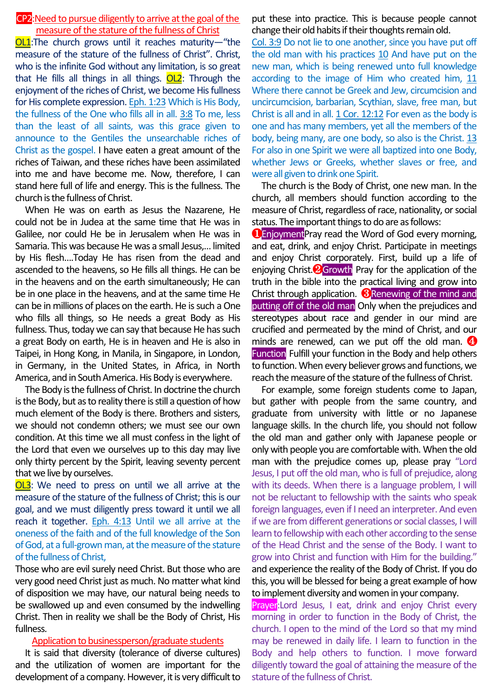## CP2:Need to pursue diligently to arrive at the goal of the measure of the stature of the fullness of Christ

OL1:The church grows until it reaches maturity—"the measure of the stature of the fullness of Christ". Christ, who is the infinite God without any limitation, is so great that He fills all things in all things.  $OL2$ : Through the enjoyment of the riches of Christ, we become His fullness for His complete expression. Eph. 1:23 Which is His Body, the fullness of the One who fills all in all. 3:8 To me, less than the least of all saints, was this grace given to announce to the Gentiles the unsearchable riches of Christ as the gospel. I have eaten a great amount of the riches of Taiwan, and these riches have been assimilated into me and have become me. Now, therefore, I can stand here full of life and energy. This is the fullness. The church is the fullness of Christ.

When He was on earth as Jesus the Nazarene, He could not be in Judea at the same time that He was in Galilee, nor could He be in Jerusalem when He was in Samaria. This was because He was a small Jesus,… limited by His flesh….Today He has risen from the dead and ascended to the heavens, so He fills all things. He can be in the heavens and on the earth simultaneously; He can be in one place in the heavens, and at the same time He can be in millions of places on the earth. He is such a One who fills all things, so He needs a great Body as His fullness. Thus, today we can say that because He has such a great Body on earth, He is in heaven and He is also in Taipei, in Hong Kong, in Manila, in Singapore, in London, in Germany, in the United States, in Africa, in North America, and in South America. His Body is everywhere.

The Body is the fullness of Christ. In doctrine the church is the Body, but as to reality there is still a question of how much element of the Body is there. Brothers and sisters, we should not condemn others; we must see our own condition. At this time we all must confess in the light of the Lord that even we ourselves up to this day may live only thirty percent by the Spirit, leaving seventy percent that we live by ourselves.

**OL3**: We need to press on until we all arrive at the measure of the stature of the fullness of Christ; this is our goal, and we must diligently press toward it until we all reach it together. Eph. 4:13 Until we all arrive at the oneness of the faith and of the full knowledge of the Son of God, at a full-grown man, at the measure of the stature of the fullness of Christ,

Those who are evil surely need Christ. But those who are very good need Christ just as much. No matter what kind of disposition we may have, our natural being needs to be swallowed up and even consumed by the indwelling Christ. Then in reality we shall be the Body of Christ, His fullness.

#### Application to businessperson/graduate students

It is said that diversity (tolerance of diverse cultures) and the utilization of women are important for the development of a company. However, it is very difficult to

put these into practice. This is because people cannot change their old habits if their thoughts remain old.

Col. 3:9 Do not lie to one another, since you have put off the old man with his practices 10 And have put on the new man, which is being renewed unto full knowledge according to the image of Him who created him, 11 Where there cannot be Greek and Jew, circumcision and uncircumcision, barbarian, Scythian, slave, free man, but Christ is all and in all. 1 Cor. 12:12 For even as the body is one and has many members, yet all the members of the body, being many, are one body, so also is the Christ. 13 For also in one Spirit we were all baptized into one Body, whether Jews or Greeks, whether slaves or free, and were all given to drink one Spirit.

The church is the Body of Christ, one new man. In the church, all members should function according to the measure of Christ, regardless of race, nationality, or social status. The important things to do are as follows:

**OEnjoyment**Pray read the Word of God every morning, and eat, drink, and enjoy Christ. Participate in meetings and enjoy Christ corporately. First, build up a life of enjoying Christ. **2**Growth Pray for the application of the truth in the bible into the practical living and grow into Christ through application.  $\bigotimes$  Renewing of the mind and putting off of the old man Only when the prejudices and stereotypes about race and gender in our mind are crucified and permeated by the mind of Christ, and our minds are renewed, can we put off the old man.  $\bullet$ Function Fulfill your function in the Body and help others to function. When every believer grows and functions, we reach the measure of the stature of the fullness of Christ.

For example, some foreign students come to Japan, but gather with people from the same country, and graduate from university with little or no Japanese language skills. In the church life, you should not follow the old man and gather only with Japanese people or only with people you are comfortable with. When the old man with the prejudice comes up, please pray "Lord Jesus, I put off the old man, who is full of prejudice, along with its deeds. When there is a language problem, I will not be reluctant to fellowship with the saints who speak foreign languages, even if I need an interpreter. And even if we are from different generations or social classes, I will learn to fellowship with each other according to the sense of the Head Christ and the sense of the Body. I want to grow into Christ and function with Him for the building." and experience the reality of the Body of Christ. If you do this, you will be blessed for being a great example of how to implement diversity and women in your company.

Prayer: Lord Jesus, I eat, drink and enjoy Christ every morning in order to function in the Body of Christ, the church. I open to the mind of the Lord so that my mind may be renewed in daily life. I learn to function in the Body and help others to function. I move forward diligently toward the goal of attaining the measure of the stature of the fullness of Christ.